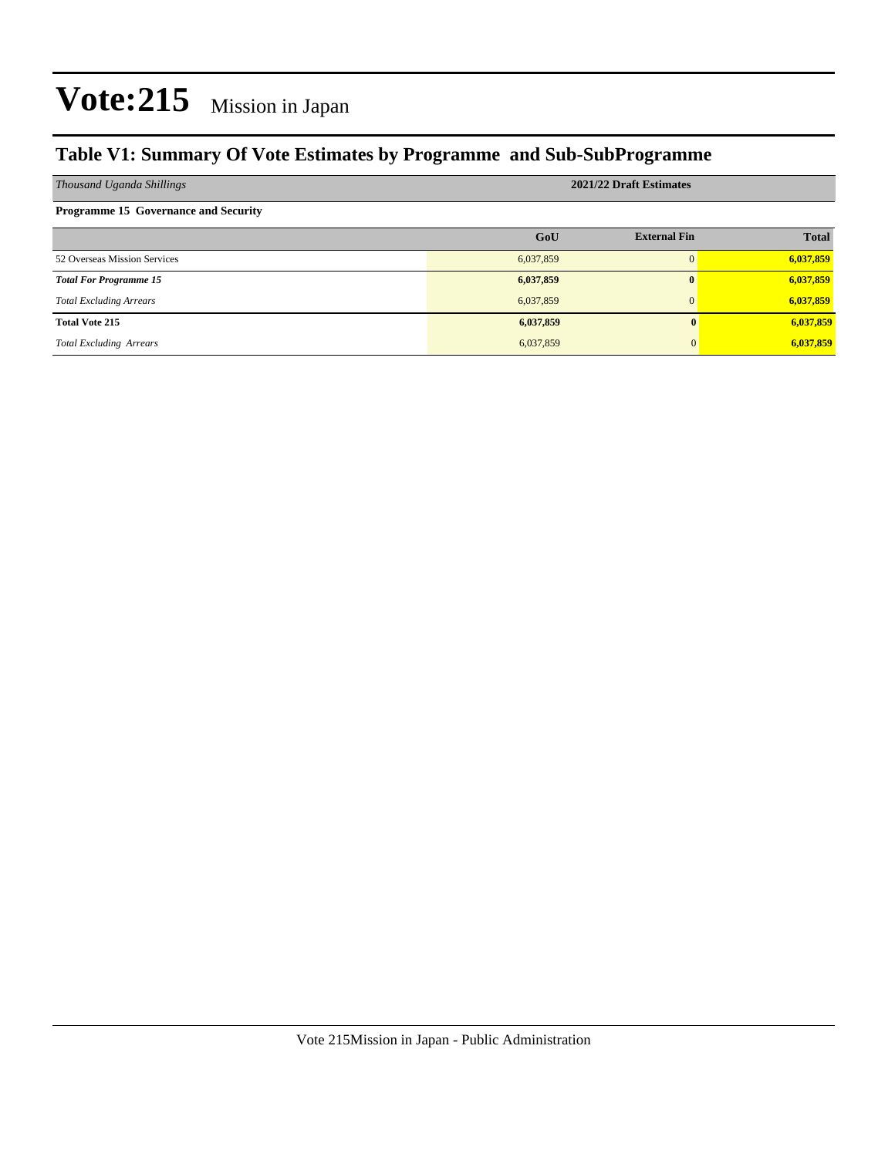### **Table V1: Summary Of Vote Estimates by Programme and Sub-SubProgramme**

| Thousand Uganda Shillings                   | 2021/22 Draft Estimates |                     |              |  |  |
|---------------------------------------------|-------------------------|---------------------|--------------|--|--|
| <b>Programme 15 Governance and Security</b> |                         |                     |              |  |  |
|                                             | GoU                     | <b>External Fin</b> | <b>Total</b> |  |  |
| 52 Overseas Mission Services                | 6,037,859               | $\Omega$            | 6,037,859    |  |  |
| <b>Total For Programme 15</b>               | 6,037,859               | $\bf{0}$            | 6,037,859    |  |  |
| <b>Total Excluding Arrears</b>              | 6,037,859               | $\Omega$            | 6,037,859    |  |  |
| <b>Total Vote 215</b>                       | 6,037,859               |                     | 6,037,859    |  |  |
| <b>Total Excluding Arrears</b>              | 6,037,859               |                     | 6,037,859    |  |  |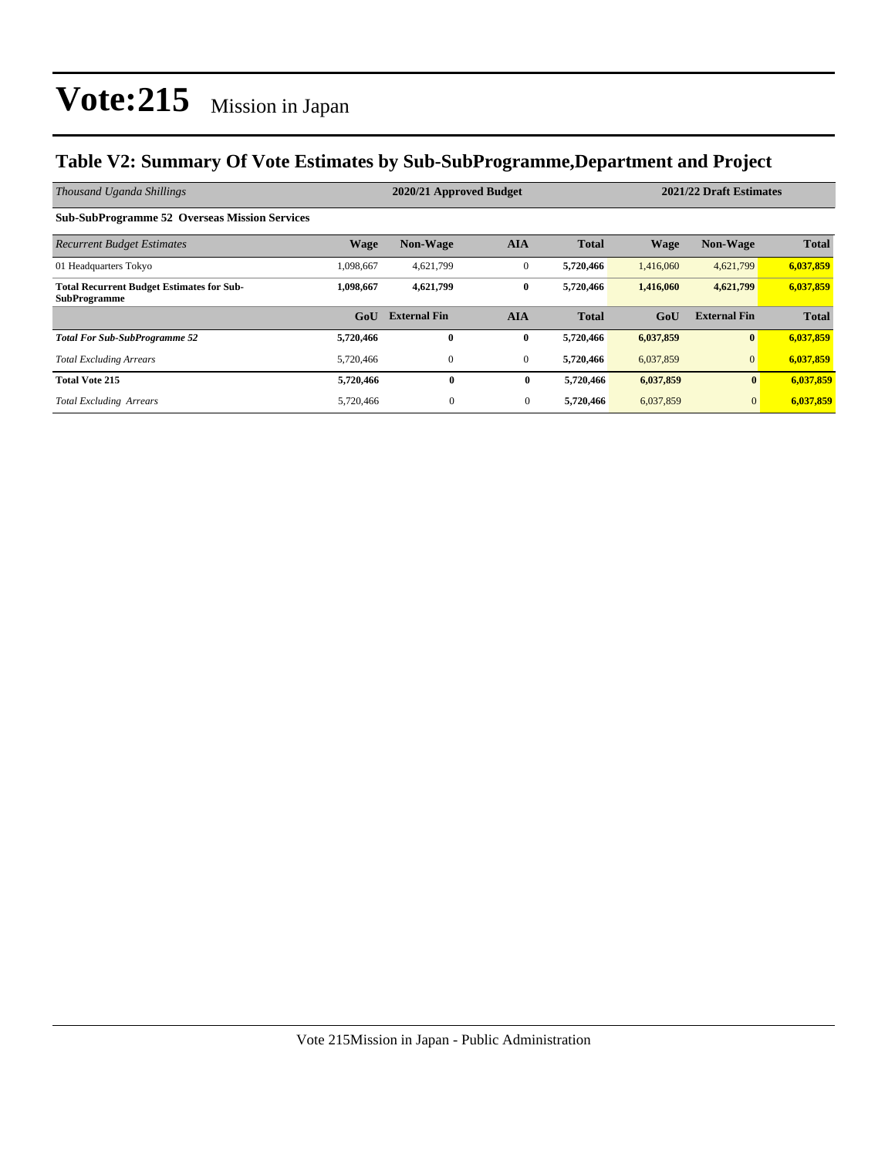### **Table V2: Summary Of Vote Estimates by Sub-SubProgramme,Department and Project**

| Thousand Uganda Shillings                                               | 2021/22 Draft Estimates<br>2020/21 Approved Budget |                     |                |              |             |                     |              |
|-------------------------------------------------------------------------|----------------------------------------------------|---------------------|----------------|--------------|-------------|---------------------|--------------|
| <b>Sub-SubProgramme 52 Overseas Mission Services</b>                    |                                                    |                     |                |              |             |                     |              |
| <b>Recurrent Budget Estimates</b>                                       | <b>Wage</b>                                        | <b>Non-Wage</b>     | <b>AIA</b>     | <b>Total</b> | <b>Wage</b> | <b>Non-Wage</b>     | <b>Total</b> |
| 01 Headquarters Tokyo                                                   | 1,098,667                                          | 4,621,799           | $\mathbf{0}$   | 5,720,466    | 1,416,060   | 4,621,799           | 6,037,859    |
| <b>Total Recurrent Budget Estimates for Sub-</b><br><b>SubProgramme</b> | 1,098,667                                          | 4,621,799           | $\bf{0}$       | 5,720,466    | 1,416,060   | 4,621,799           | 6,037,859    |
|                                                                         | GoU                                                | <b>External Fin</b> | <b>AIA</b>     | <b>Total</b> | GoU         | <b>External Fin</b> | <b>Total</b> |
| <b>Total For Sub-SubProgramme 52</b>                                    | 5,720,466                                          | $\bf{0}$            | $\bf{0}$       | 5,720,466    | 6,037,859   | $\mathbf{0}$        | 6,037,859    |
| <b>Total Excluding Arrears</b>                                          | 5,720,466                                          | 0                   | $\overline{0}$ | 5,720,466    | 6,037,859   | $\overline{0}$      | 6,037,859    |
| <b>Total Vote 215</b>                                                   | 5,720,466                                          | $\bf{0}$            | $\bf{0}$       | 5,720,466    | 6,037,859   | $\bf{0}$            | 6,037,859    |
| <b>Total Excluding Arrears</b>                                          | 5,720,466                                          | $\overline{0}$      | $\overline{0}$ | 5,720,466    | 6,037,859   | $\mathbf{0}$        | 6,037,859    |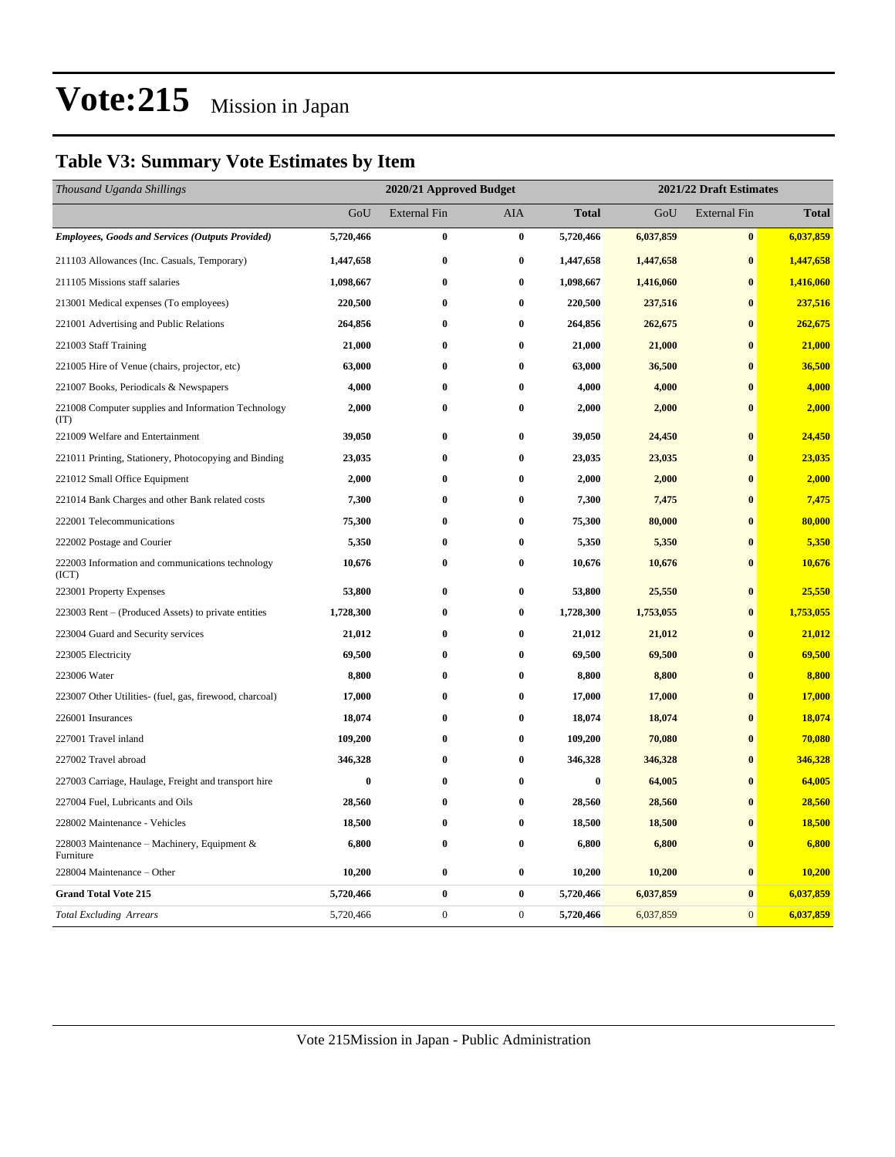### **Table V3: Summary Vote Estimates by Item**

| Thousand Uganda Shillings                                   |           | 2020/21 Approved Budget |                  |              |           | 2021/22 Draft Estimates |              |  |  |
|-------------------------------------------------------------|-----------|-------------------------|------------------|--------------|-----------|-------------------------|--------------|--|--|
|                                                             | GoU       | <b>External Fin</b>     | AIA              | <b>Total</b> | GoU       | <b>External Fin</b>     | <b>Total</b> |  |  |
| <b>Employees, Goods and Services (Outputs Provided)</b>     | 5,720,466 | $\bf{0}$                | $\bf{0}$         | 5,720,466    | 6,037,859 | $\bf{0}$                | 6,037,859    |  |  |
| 211103 Allowances (Inc. Casuals, Temporary)                 | 1,447,658 | $\bf{0}$                | $\bf{0}$         | 1,447,658    | 1,447,658 | $\bf{0}$                | 1,447,658    |  |  |
| 211105 Missions staff salaries                              | 1,098,667 | $\bf{0}$                | $\bf{0}$         | 1,098,667    | 1,416,060 | $\bf{0}$                | 1,416,060    |  |  |
| 213001 Medical expenses (To employees)                      | 220,500   | $\bf{0}$                | $\bf{0}$         | 220,500      | 237,516   | $\bf{0}$                | 237,516      |  |  |
| 221001 Advertising and Public Relations                     | 264,856   | $\bf{0}$                | $\bf{0}$         | 264,856      | 262,675   | $\bf{0}$                | 262,675      |  |  |
| 221003 Staff Training                                       | 21,000    | $\bf{0}$                | $\bf{0}$         | 21,000       | 21,000    | $\bf{0}$                | 21,000       |  |  |
| 221005 Hire of Venue (chairs, projector, etc)               | 63,000    | $\bf{0}$                | $\bf{0}$         | 63,000       | 36,500    | $\bf{0}$                | 36,500       |  |  |
| 221007 Books, Periodicals & Newspapers                      | 4,000     | $\bf{0}$                | $\bf{0}$         | 4,000        | 4,000     | $\bf{0}$                | 4,000        |  |  |
| 221008 Computer supplies and Information Technology<br>(TT) | 2,000     | $\bf{0}$                | $\bf{0}$         | 2,000        | 2,000     | $\bf{0}$                | 2,000        |  |  |
| 221009 Welfare and Entertainment                            | 39,050    | $\bf{0}$                | $\bf{0}$         | 39,050       | 24,450    | $\bf{0}$                | 24,450       |  |  |
| 221011 Printing, Stationery, Photocopying and Binding       | 23,035    | $\bf{0}$                | $\bf{0}$         | 23,035       | 23,035    | $\bf{0}$                | 23,035       |  |  |
| 221012 Small Office Equipment                               | 2,000     | $\bf{0}$                | $\bf{0}$         | 2,000        | 2,000     | $\bf{0}$                | 2,000        |  |  |
| 221014 Bank Charges and other Bank related costs            | 7,300     | $\bf{0}$                | $\bf{0}$         | 7,300        | 7,475     | $\mathbf{0}$            | 7,475        |  |  |
| 222001 Telecommunications                                   | 75,300    | $\bf{0}$                | $\bf{0}$         | 75,300       | 80,000    | $\mathbf{0}$            | 80,000       |  |  |
| 222002 Postage and Courier                                  | 5,350     | $\bf{0}$                | $\bf{0}$         | 5,350        | 5,350     | $\bf{0}$                | 5,350        |  |  |
| 222003 Information and communications technology<br>(ICT)   | 10,676    | $\bf{0}$                | $\bf{0}$         | 10,676       | 10,676    | $\bf{0}$                | 10,676       |  |  |
| 223001 Property Expenses                                    | 53,800    | $\bf{0}$                | $\bf{0}$         | 53,800       | 25,550    | $\bf{0}$                | 25,550       |  |  |
| 223003 Rent – (Produced Assets) to private entities         | 1,728,300 | $\bf{0}$                | $\bf{0}$         | 1,728,300    | 1,753,055 | $\bf{0}$                | 1,753,055    |  |  |
| 223004 Guard and Security services                          | 21,012    | $\bf{0}$                | $\bf{0}$         | 21,012       | 21,012    | $\bf{0}$                | 21,012       |  |  |
| 223005 Electricity                                          | 69,500    | $\bf{0}$                | $\bf{0}$         | 69,500       | 69,500    | $\bf{0}$                | 69,500       |  |  |
| 223006 Water                                                | 8,800     | $\bf{0}$                | $\bf{0}$         | 8,800        | 8,800     | $\bf{0}$                | 8,800        |  |  |
| 223007 Other Utilities- (fuel, gas, firewood, charcoal)     | 17,000    | $\bf{0}$                | $\bf{0}$         | 17,000       | 17,000    | $\bf{0}$                | 17,000       |  |  |
| 226001 Insurances                                           | 18,074    | $\bf{0}$                | $\bf{0}$         | 18,074       | 18,074    | $\bf{0}$                | 18,074       |  |  |
| 227001 Travel inland                                        | 109,200   | $\bf{0}$                | $\bf{0}$         | 109,200      | 70,080    | $\bf{0}$                | 70,080       |  |  |
| 227002 Travel abroad                                        | 346,328   | $\bf{0}$                | $\bf{0}$         | 346,328      | 346,328   | $\bf{0}$                | 346,328      |  |  |
| 227003 Carriage, Haulage, Freight and transport hire        | $\bf{0}$  | $\bf{0}$                | $\bf{0}$         | $\bf{0}$     | 64,005    | $\bf{0}$                | 64,005       |  |  |
| 227004 Fuel, Lubricants and Oils                            | 28,560    | $\bf{0}$                | $\bf{0}$         | 28,560       | 28,560    | $\bf{0}$                | 28,560       |  |  |
| 228002 Maintenance - Vehicles                               | 18,500    | $\bf{0}$                | $\bf{0}$         | 18,500       | 18,500    | $\bf{0}$                | 18,500       |  |  |
| 228003 Maintenance - Machinery, Equipment &<br>Furniture    | 6,800     | $\bf{0}$                | $\bf{0}$         | 6,800        | 6,800     | $\bf{0}$                | 6,800        |  |  |
| 228004 Maintenance - Other                                  | 10,200    | $\bf{0}$                | $\bf{0}$         | 10,200       | 10,200    | $\bf{0}$                | 10,200       |  |  |
| <b>Grand Total Vote 215</b>                                 | 5,720,466 | $\bf{0}$                | $\bf{0}$         | 5,720,466    | 6,037,859 | $\bf{0}$                | 6,037,859    |  |  |
| <b>Total Excluding Arrears</b>                              | 5,720,466 | $\boldsymbol{0}$        | $\boldsymbol{0}$ | 5,720,466    | 6,037,859 | $\mathbf{0}$            | 6,037,859    |  |  |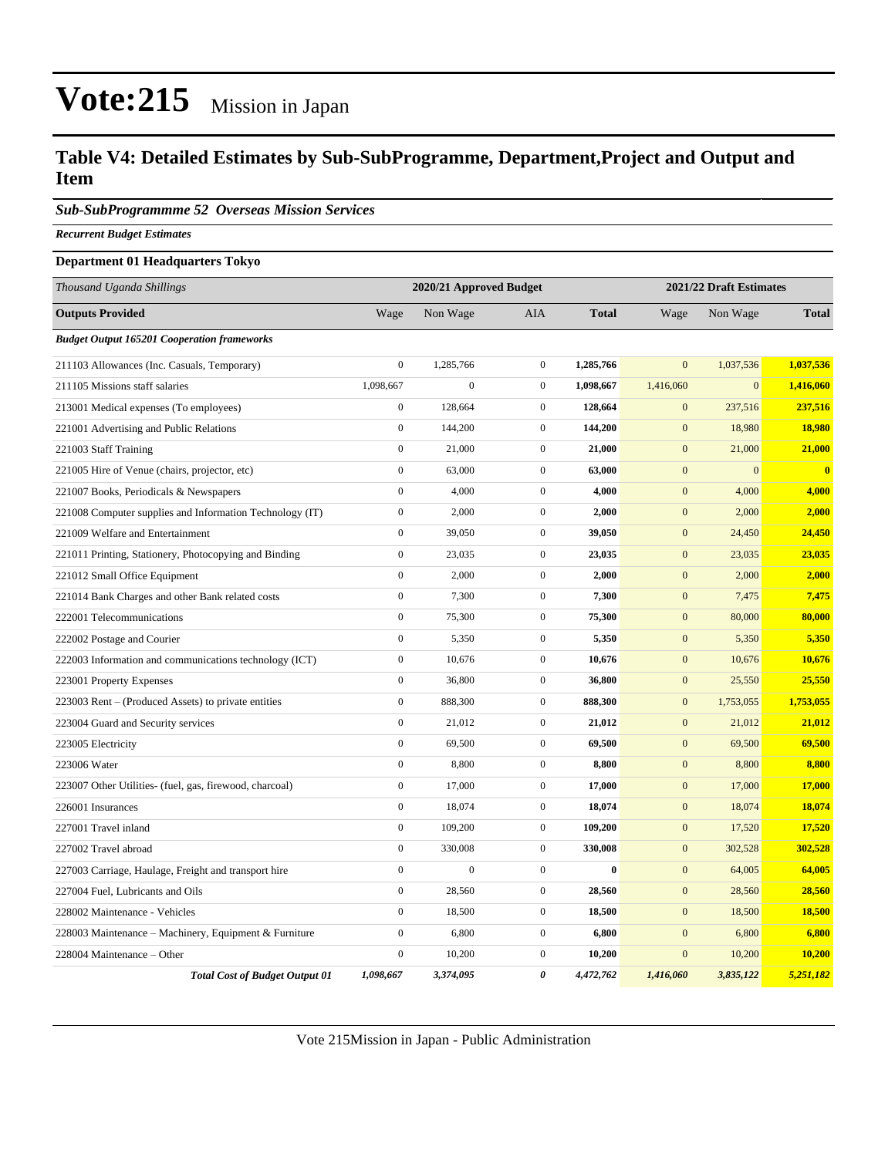### **Table V4: Detailed Estimates by Sub-SubProgramme, Department,Project and Output and Item**

*Sub-SubProgrammme 52 Overseas Mission Services*

*Recurrent Budget Estimates*

#### **Department 01 Headquarters Tokyo**

| Thousand Uganda Shillings                                | 2020/21 Approved Budget |                |                  |              |                  | 2021/22 Draft Estimates |              |  |
|----------------------------------------------------------|-------------------------|----------------|------------------|--------------|------------------|-------------------------|--------------|--|
| <b>Outputs Provided</b>                                  | Wage                    | Non Wage       | AIA              | <b>Total</b> | Wage             | Non Wage                | <b>Total</b> |  |
| <b>Budget Output 165201 Cooperation frameworks</b>       |                         |                |                  |              |                  |                         |              |  |
| 211103 Allowances (Inc. Casuals, Temporary)              | $\boldsymbol{0}$        | 1,285,766      | $\boldsymbol{0}$ | 1,285,766    | $\overline{0}$   | 1,037,536               | 1,037,536    |  |
| 211105 Missions staff salaries                           | 1,098,667               | $\overline{0}$ | $\mathbf{0}$     | 1,098,667    | 1,416,060        | $\mathbf{0}$            | 1,416,060    |  |
| 213001 Medical expenses (To employees)                   | $\boldsymbol{0}$        | 128,664        | $\boldsymbol{0}$ | 128,664      | $\mathbf{0}$     | 237,516                 | 237,516      |  |
| 221001 Advertising and Public Relations                  | $\boldsymbol{0}$        | 144,200        | $\boldsymbol{0}$ | 144,200      | $\mathbf{0}$     | 18,980                  | 18,980       |  |
| 221003 Staff Training                                    | $\boldsymbol{0}$        | 21,000         | $\boldsymbol{0}$ | 21,000       | $\mathbf{0}$     | 21,000                  | 21,000       |  |
| 221005 Hire of Venue (chairs, projector, etc)            | $\boldsymbol{0}$        | 63,000         | $\boldsymbol{0}$ | 63,000       | $\boldsymbol{0}$ | $\mathbf{0}$            | $\bf{0}$     |  |
| 221007 Books, Periodicals & Newspapers                   | $\boldsymbol{0}$        | 4,000          | $\boldsymbol{0}$ | 4,000        | $\mathbf{0}$     | 4,000                   | 4,000        |  |
| 221008 Computer supplies and Information Technology (IT) | $\boldsymbol{0}$        | 2,000          | $\mathbf{0}$     | 2,000        | $\mathbf{0}$     | 2,000                   | 2,000        |  |
| 221009 Welfare and Entertainment                         | $\boldsymbol{0}$        | 39,050         | $\mathbf{0}$     | 39,050       | $\mathbf{0}$     | 24,450                  | 24,450       |  |
| 221011 Printing, Stationery, Photocopying and Binding    | $\overline{0}$          | 23,035         | $\mathbf{0}$     | 23,035       | $\mathbf{0}$     | 23,035                  | 23,035       |  |
| 221012 Small Office Equipment                            | $\overline{0}$          | 2,000          | $\boldsymbol{0}$ | 2,000        | $\mathbf{0}$     | 2,000                   | 2,000        |  |
| 221014 Bank Charges and other Bank related costs         | $\boldsymbol{0}$        | 7,300          | $\boldsymbol{0}$ | 7,300        | $\mathbf{0}$     | 7,475                   | 7,475        |  |
| 222001 Telecommunications                                | $\boldsymbol{0}$        | 75,300         | $\mathbf{0}$     | 75,300       | $\mathbf{0}$     | 80,000                  | 80,000       |  |
| 222002 Postage and Courier                               | $\overline{0}$          | 5,350          | $\mathbf{0}$     | 5,350        | $\mathbf{0}$     | 5,350                   | 5,350        |  |
| 222003 Information and communications technology (ICT)   | $\boldsymbol{0}$        | 10,676         | $\boldsymbol{0}$ | 10,676       | $\mathbf{0}$     | 10,676                  | 10,676       |  |
| 223001 Property Expenses                                 | $\boldsymbol{0}$        | 36,800         | $\boldsymbol{0}$ | 36,800       | $\mathbf{0}$     | 25,550                  | 25,550       |  |
| 223003 Rent – (Produced Assets) to private entities      | $\boldsymbol{0}$        | 888,300        | $\mathbf{0}$     | 888,300      | $\mathbf{0}$     | 1,753,055               | 1,753,055    |  |
| 223004 Guard and Security services                       | $\overline{0}$          | 21,012         | $\boldsymbol{0}$ | 21,012       | $\mathbf{0}$     | 21,012                  | 21,012       |  |
| 223005 Electricity                                       | $\boldsymbol{0}$        | 69,500         | $\boldsymbol{0}$ | 69,500       | $\mathbf{0}$     | 69,500                  | 69,500       |  |
| 223006 Water                                             | $\boldsymbol{0}$        | 8,800          | $\boldsymbol{0}$ | 8,800        | $\mathbf{0}$     | 8,800                   | 8,800        |  |
| 223007 Other Utilities- (fuel, gas, firewood, charcoal)  | $\boldsymbol{0}$        | 17,000         | $\boldsymbol{0}$ | 17,000       | $\mathbf{0}$     | 17,000                  | 17,000       |  |
| 226001 Insurances                                        | $\overline{0}$          | 18,074         | $\boldsymbol{0}$ | 18,074       | $\mathbf{0}$     | 18,074                  | 18,074       |  |
| 227001 Travel inland                                     | $\boldsymbol{0}$        | 109,200        | $\boldsymbol{0}$ | 109,200      | $\mathbf{0}$     | 17,520                  | 17,520       |  |
| 227002 Travel abroad                                     | $\boldsymbol{0}$        | 330,008        | $\boldsymbol{0}$ | 330,008      | $\mathbf{0}$     | 302,528                 | 302,528      |  |
| 227003 Carriage, Haulage, Freight and transport hire     | $\overline{0}$          | $\overline{0}$ | $\mathbf{0}$     | $\mathbf{0}$ | $\boldsymbol{0}$ | 64,005                  | 64,005       |  |
| 227004 Fuel, Lubricants and Oils                         | $\overline{0}$          | 28,560         | $\boldsymbol{0}$ | 28,560       | $\mathbf{0}$     | 28,560                  | 28,560       |  |
| 228002 Maintenance - Vehicles                            | $\overline{0}$          | 18,500         | $\boldsymbol{0}$ | 18,500       | $\mathbf{0}$     | 18,500                  | 18,500       |  |
| 228003 Maintenance - Machinery, Equipment & Furniture    | $\boldsymbol{0}$        | 6,800          | $\boldsymbol{0}$ | 6,800        | $\mathbf{0}$     | 6,800                   | 6,800        |  |
| 228004 Maintenance - Other                               | $\overline{0}$          | 10,200         | $\mathbf{0}$     | 10,200       | $\overline{0}$   | 10,200                  | 10,200       |  |
| <b>Total Cost of Budget Output 01</b>                    | 1,098,667               | 3,374,095      | 0                | 4,472,762    | 1.416.060        | 3,835,122               | 5,251,182    |  |

Vote 215Mission in Japan - Public Administration